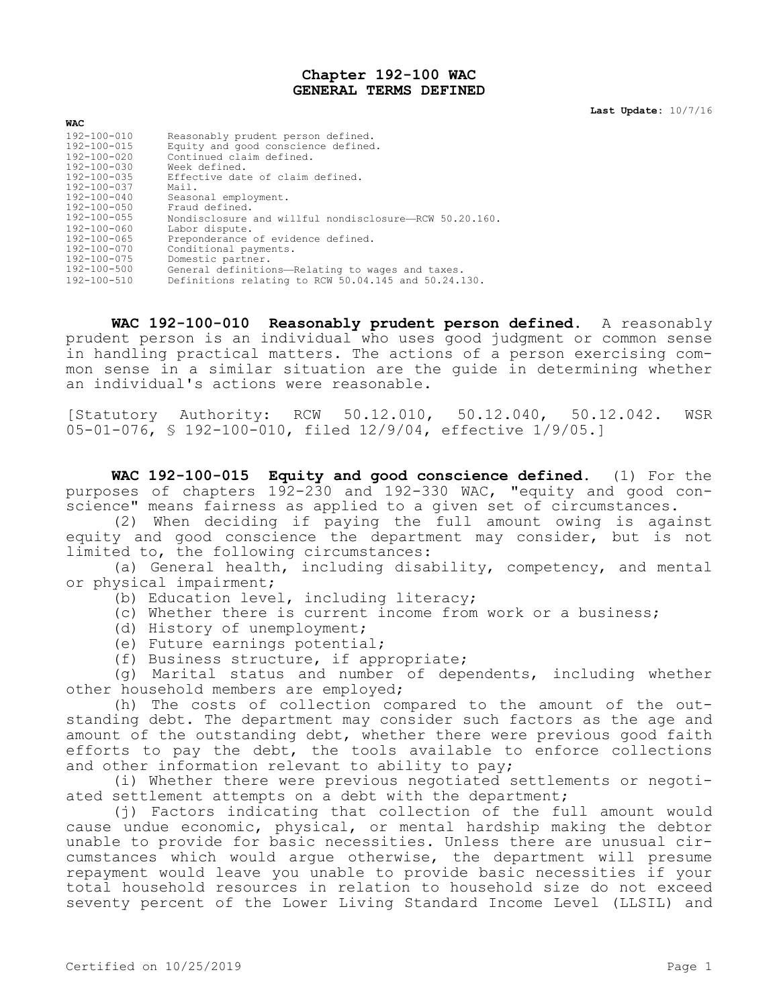## **Chapter 192-100 WAC GENERAL TERMS DEFINED**

**Last Update:** 10/7/16

| <b>WAC</b>        |                                                        |
|-------------------|--------------------------------------------------------|
| $192 - 100 - 010$ | Reasonably prudent person defined.                     |
| $192 - 100 - 015$ | Equity and good conscience defined.                    |
| 192-100-020       | Continued claim defined.                               |
| $192 - 100 - 030$ | Week defined.                                          |
| $192 - 100 - 035$ | Effective date of claim defined.                       |
| 192-100-037       | Mail.                                                  |
| $192 - 100 - 040$ | Seasonal employment.                                   |
| 192-100-050       | Fraud defined.                                         |
| 192-100-055       | Nondisclosure and willful nondisclosure-RCW 50.20.160. |
| $192 - 100 - 060$ | Labor dispute.                                         |
| $192 - 100 - 065$ | Preponderance of evidence defined.                     |
| $192 - 100 - 070$ | Conditional payments.                                  |
| 192-100-075       | Domestic partner.                                      |
| 192-100-500       | General definitions-Relating to wages and taxes.       |
| $192 - 100 - 510$ | Definitions relating to RCW 50.04.145 and 50.24.130.   |

**WAC 192-100-010 Reasonably prudent person defined.** A reasonably prudent person is an individual who uses good judgment or common sense in handling practical matters. The actions of a person exercising common sense in a similar situation are the guide in determining whether an individual's actions were reasonable.

[Statutory Authority: RCW 50.12.010, 50.12.040, 50.12.042. WSR 05-01-076, § 192-100-010, filed 12/9/04, effective 1/9/05.]

**WAC 192-100-015 Equity and good conscience defined.** (1) For the purposes of chapters 192-230 and 192-330 WAC, "equity and good conscience" means fairness as applied to a given set of circumstances.

(2) When deciding if paying the full amount owing is against equity and good conscience the department may consider, but is not limited to, the following circumstances:

(a) General health, including disability, competency, and mental or physical impairment;

- (b) Education level, including literacy;
- (c) Whether there is current income from work or a business;
- (d) History of unemployment;
- (e) Future earnings potential;
- (f) Business structure, if appropriate;

(g) Marital status and number of dependents, including whether other household members are employed;

(h) The costs of collection compared to the amount of the outstanding debt. The department may consider such factors as the age and amount of the outstanding debt, whether there were previous good faith efforts to pay the debt, the tools available to enforce collections and other information relevant to ability to pay;

(i) Whether there were previous negotiated settlements or negotiated settlement attempts on a debt with the department;

(j) Factors indicating that collection of the full amount would cause undue economic, physical, or mental hardship making the debtor unable to provide for basic necessities. Unless there are unusual circumstances which would argue otherwise, the department will presume repayment would leave you unable to provide basic necessities if your total household resources in relation to household size do not exceed seventy percent of the Lower Living Standard Income Level (LLSIL) and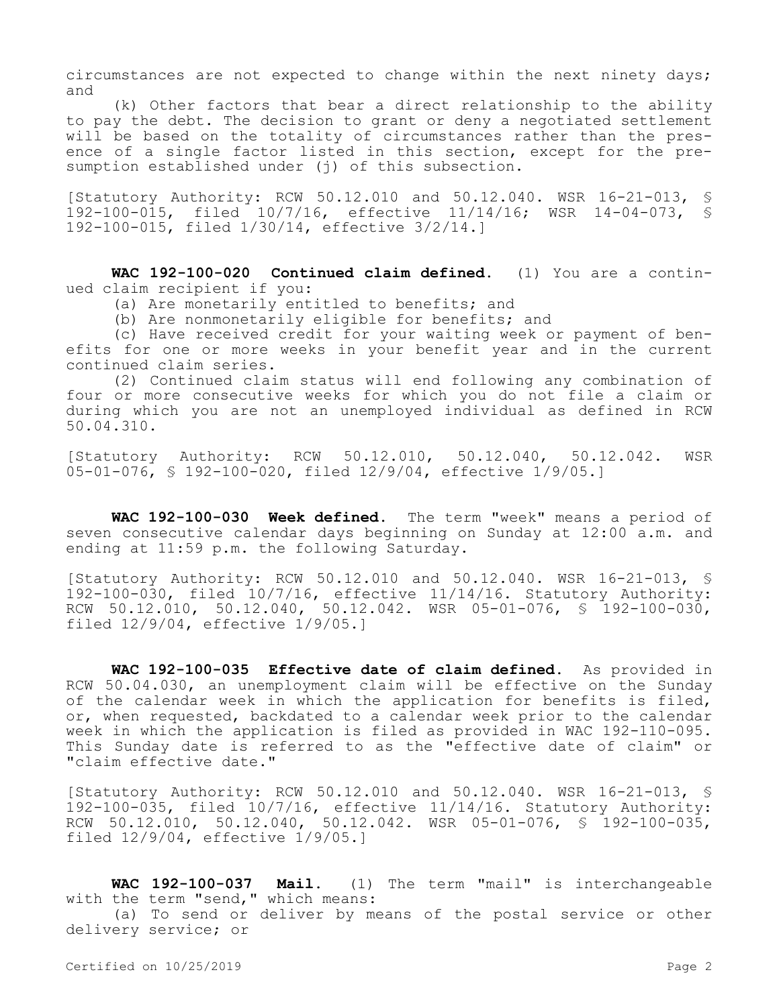circumstances are not expected to change within the next ninety days; and

(k) Other factors that bear a direct relationship to the ability to pay the debt. The decision to grant or deny a negotiated settlement will be based on the totality of circumstances rather than the presence of a single factor listed in this section, except for the presumption established under (j) of this subsection.

[Statutory Authority: RCW 50.12.010 and 50.12.040. WSR 16-21-013, § 192-100-015, filed 10/7/16, effective 11/14/16; WSR 14-04-073, § 192-100-015, filed 1/30/14, effective 3/2/14.]

**WAC 192-100-020 Continued claim defined.** (1) You are a continued claim recipient if you:

(a) Are monetarily entitled to benefits; and

(b) Are nonmonetarily eligible for benefits; and

(c) Have received credit for your waiting week or payment of benefits for one or more weeks in your benefit year and in the current continued claim series.

(2) Continued claim status will end following any combination of four or more consecutive weeks for which you do not file a claim or during which you are not an unemployed individual as defined in RCW 50.04.310.

[Statutory Authority: RCW 50.12.010, 50.12.040, 50.12.042. WSR 05-01-076, § 192-100-020, filed 12/9/04, effective 1/9/05.]

**WAC 192-100-030 Week defined.** The term "week" means a period of seven consecutive calendar days beginning on Sunday at 12:00 a.m. and ending at 11:59 p.m. the following Saturday.

[Statutory Authority: RCW 50.12.010 and 50.12.040. WSR 16-21-013, § 192-100-030, filed 10/7/16, effective 11/14/16. Statutory Authority: RCW 50.12.010, 50.12.040, 50.12.042. WSR 05-01-076, § 192-100-030, filed 12/9/04, effective 1/9/05.]

**WAC 192-100-035 Effective date of claim defined.** As provided in RCW 50.04.030, an unemployment claim will be effective on the Sunday of the calendar week in which the application for benefits is filed, or, when requested, backdated to a calendar week prior to the calendar week in which the application is filed as provided in WAC 192-110-095. This Sunday date is referred to as the "effective date of claim" or "claim effective date."

[Statutory Authority: RCW 50.12.010 and 50.12.040. WSR 16-21-013, § 192-100-035, filed 10/7/16, effective 11/14/16. Statutory Authority: RCW 50.12.010, 50.12.040, 50.12.042. WSR 05-01-076, § 192-100-035, filed 12/9/04, effective 1/9/05.]

**WAC 192-100-037 Mail.** (1) The term "mail" is interchangeable with the term "send," which means: (a) To send or deliver by means of the postal service or other delivery service; or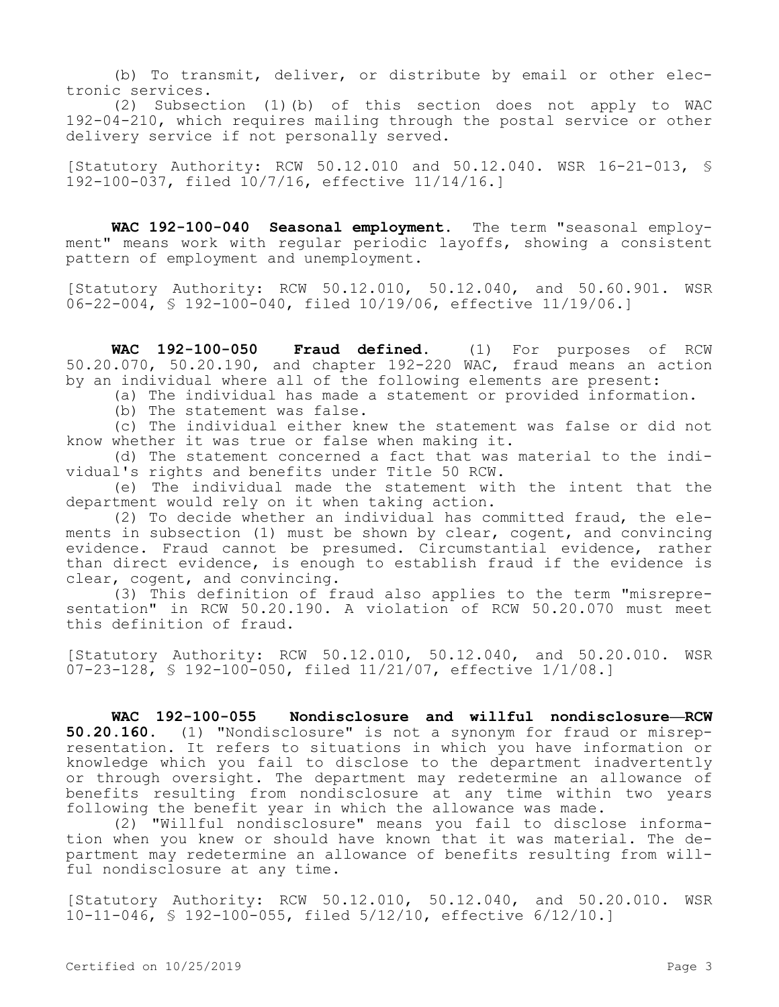(b) To transmit, deliver, or distribute by email or other electronic services.

(2) Subsection (1)(b) of this section does not apply to WAC 192-04-210, which requires mailing through the postal service or other delivery service if not personally served.

[Statutory Authority: RCW 50.12.010 and 50.12.040. WSR 16-21-013, § 192-100-037, filed 10/7/16, effective 11/14/16.]

**WAC 192-100-040 Seasonal employment.** The term "seasonal employment" means work with regular periodic layoffs, showing a consistent pattern of employment and unemployment.

[Statutory Authority: RCW 50.12.010, 50.12.040, and 50.60.901. WSR 06-22-004, § 192-100-040, filed 10/19/06, effective 11/19/06.]

**WAC 192-100-050 Fraud defined.** (1) For purposes of RCW 50.20.070, 50.20.190, and chapter 192-220 WAC, fraud means an action by an individual where all of the following elements are present:

(a) The individual has made a statement or provided information.

(b) The statement was false.

(c) The individual either knew the statement was false or did not know whether it was true or false when making it.

(d) The statement concerned a fact that was material to the individual's rights and benefits under Title 50 RCW.

(e) The individual made the statement with the intent that the department would rely on it when taking action.

(2) To decide whether an individual has committed fraud, the elements in subsection (1) must be shown by clear, cogent, and convincing evidence. Fraud cannot be presumed. Circumstantial evidence, rather than direct evidence, is enough to establish fraud if the evidence is clear, cogent, and convincing.

(3) This definition of fraud also applies to the term "misrepresentation" in RCW 50.20.190. A violation of RCW 50.20.070 must meet this definition of fraud.

[Statutory Authority: RCW 50.12.010, 50.12.040, and 50.20.010. WSR 07-23-128, § 192-100-050, filed 11/21/07, effective 1/1/08.]

**WAC 192-100-055 Nondisclosure and willful nondisclosure—RCW 50.20.160.** (1) "Nondisclosure" is not a synonym for fraud or misrepresentation. It refers to situations in which you have information or knowledge which you fail to disclose to the department inadvertently or through oversight. The department may redetermine an allowance of benefits resulting from nondisclosure at any time within two years following the benefit year in which the allowance was made.

(2) "Willful nondisclosure" means you fail to disclose information when you knew or should have known that it was material. The department may redetermine an allowance of benefits resulting from willful nondisclosure at any time.

[Statutory Authority: RCW 50.12.010, 50.12.040, and 50.20.010. WSR 10-11-046, § 192-100-055, filed 5/12/10, effective 6/12/10.]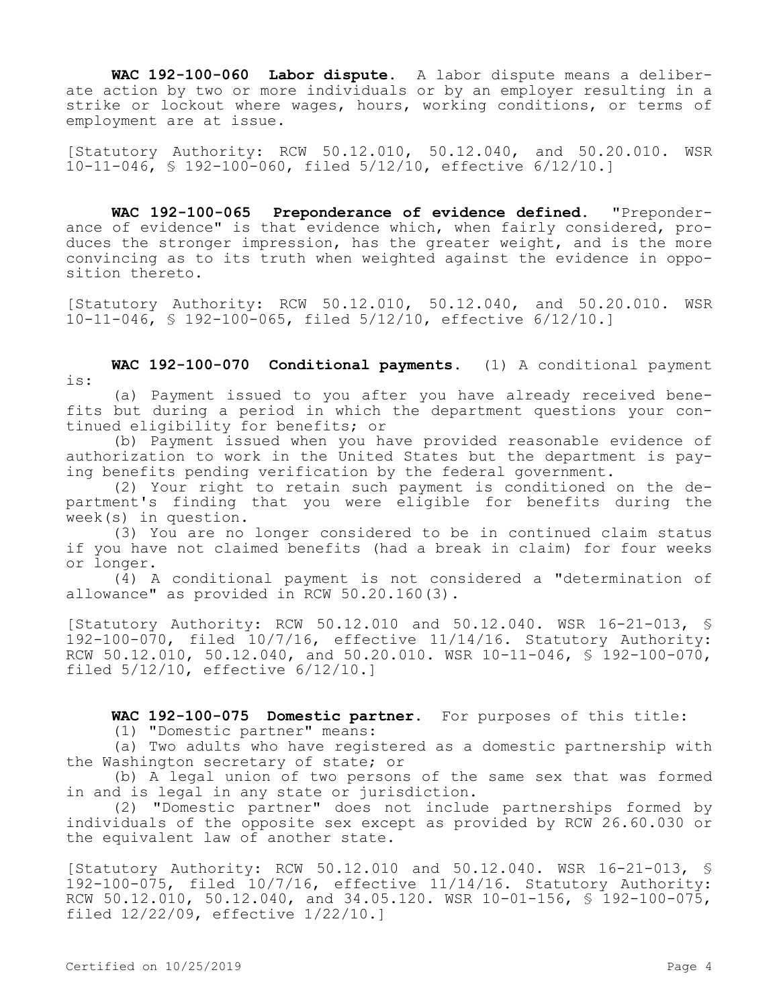**WAC 192-100-060 Labor dispute.** A labor dispute means a deliberate action by two or more individuals or by an employer resulting in a strike or lockout where wages, hours, working conditions, or terms of employment are at issue.

[Statutory Authority: RCW 50.12.010, 50.12.040, and 50.20.010. WSR 10-11-046, § 192-100-060, filed 5/12/10, effective 6/12/10.]

**WAC 192-100-065 Preponderance of evidence defined.** "Preponderance of evidence" is that evidence which, when fairly considered, produces the stronger impression, has the greater weight, and is the more convincing as to its truth when weighted against the evidence in opposition thereto.

[Statutory Authority: RCW 50.12.010, 50.12.040, and 50.20.010. WSR 10-11-046, § 192-100-065, filed 5/12/10, effective 6/12/10.]

**WAC 192-100-070 Conditional payments.** (1) A conditional payment is:

(a) Payment issued to you after you have already received benefits but during a period in which the department questions your continued eligibility for benefits; or

(b) Payment issued when you have provided reasonable evidence of authorization to work in the United States but the department is paying benefits pending verification by the federal government.

(2) Your right to retain such payment is conditioned on the department's finding that you were eligible for benefits during the week(s) in question.

(3) You are no longer considered to be in continued claim status if you have not claimed benefits (had a break in claim) for four weeks or longer.

(4) A conditional payment is not considered a "determination of allowance" as provided in RCW 50.20.160(3).

[Statutory Authority: RCW 50.12.010 and 50.12.040. WSR 16-21-013, § 192-100-070, filed 10/7/16, effective 11/14/16. Statutory Authority: RCW 50.12.010, 50.12.040, and 50.20.010. WSR 10-11-046, § 192-100-070, filed 5/12/10, effective 6/12/10.]

**WAC 192-100-075 Domestic partner.** For purposes of this title:

(1) "Domestic partner" means:

(a) Two adults who have registered as a domestic partnership with the Washington secretary of state; or

(b) A legal union of two persons of the same sex that was formed in and is legal in any state or jurisdiction.

(2) "Domestic partner" does not include partnerships formed by individuals of the opposite sex except as provided by RCW 26.60.030 or the equivalent law of another state.

[Statutory Authority: RCW 50.12.010 and 50.12.040. WSR 16-21-013, § 192-100-075, filed 10/7/16, effective 11/14/16. Statutory Authority: RCW 50.12.010, 50.12.040, and 34.05.120. WSR 10-01-156,  $\frac{1}{5}$  192-100-075, filed 12/22/09, effective 1/22/10.]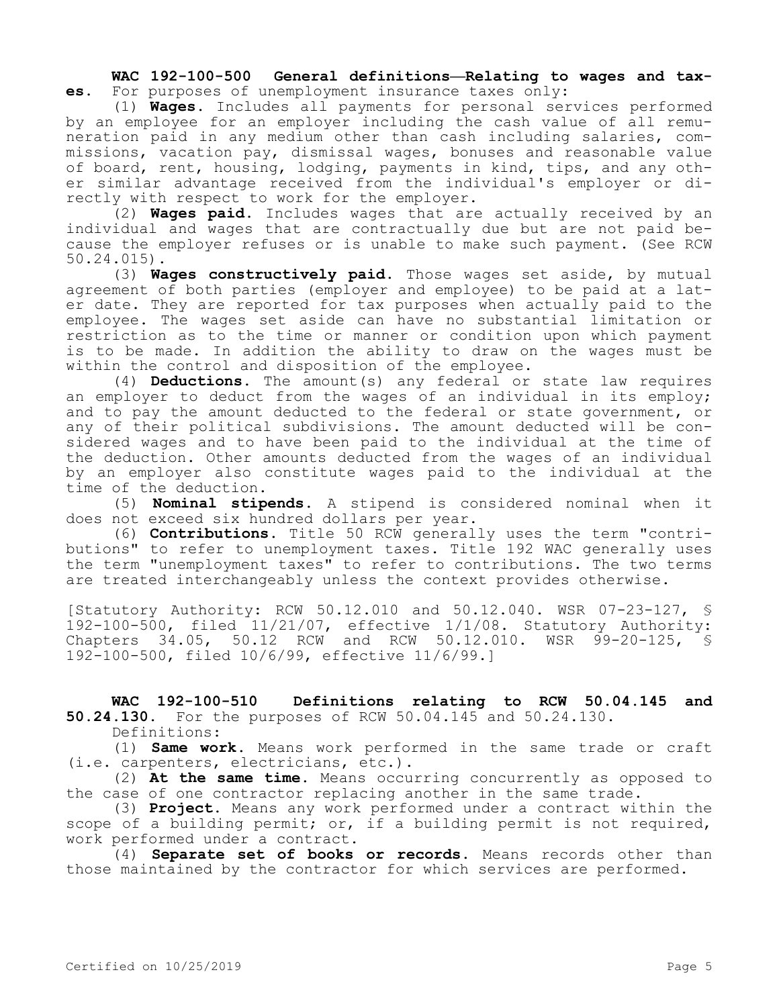**WAC 192-100-500 General definitions—Relating to wages and taxes.** For purposes of unemployment insurance taxes only:

(1) **Wages.** Includes all payments for personal services performed by an employee for an employer including the cash value of all remuneration paid in any medium other than cash including salaries, commissions, vacation pay, dismissal wages, bonuses and reasonable value of board, rent, housing, lodging, payments in kind, tips, and any other similar advantage received from the individual's employer or directly with respect to work for the employer.

(2) **Wages paid.** Includes wages that are actually received by an individual and wages that are contractually due but are not paid because the employer refuses or is unable to make such payment. (See RCW 50.24.015).

(3) **Wages constructively paid.** Those wages set aside, by mutual agreement of both parties (employer and employee) to be paid at a later date. They are reported for tax purposes when actually paid to the employee. The wages set aside can have no substantial limitation or restriction as to the time or manner or condition upon which payment is to be made. In addition the ability to draw on the wages must be within the control and disposition of the employee.

(4) **Deductions.** The amount(s) any federal or state law requires an employer to deduct from the wages of an individual in its employ; and to pay the amount deducted to the federal or state government, or any of their political subdivisions. The amount deducted will be considered wages and to have been paid to the individual at the time of the deduction. Other amounts deducted from the wages of an individual by an employer also constitute wages paid to the individual at the time of the deduction.

(5) **Nominal stipends.** A stipend is considered nominal when it does not exceed six hundred dollars per year.

(6) **Contributions.** Title 50 RCW generally uses the term "contributions" to refer to unemployment taxes. Title 192 WAC generally uses the term "unemployment taxes" to refer to contributions. The two terms are treated interchangeably unless the context provides otherwise.

[Statutory Authority: RCW 50.12.010 and 50.12.040. WSR 07-23-127, § 192-100-500, filed 11/21/07, effective 1/1/08. Statutory Authority: Chapters 34.05, 50.12 RCW and RCW 50.12.010. WSR 99-20-125, § 192-100-500, filed 10/6/99, effective 11/6/99.]

**WAC 192-100-510 Definitions relating to RCW 50.04.145 and 50.24.130.** For the purposes of RCW 50.04.145 and 50.24.130.

Definitions:

(1) **Same work.** Means work performed in the same trade or craft (i.e. carpenters, electricians, etc.).

(2) **At the same time.** Means occurring concurrently as opposed to the case of one contractor replacing another in the same trade.

(3) **Project.** Means any work performed under a contract within the scope of a building permit; or, if a building permit is not required, work performed under a contract.

(4) **Separate set of books or records.** Means records other than those maintained by the contractor for which services are performed.